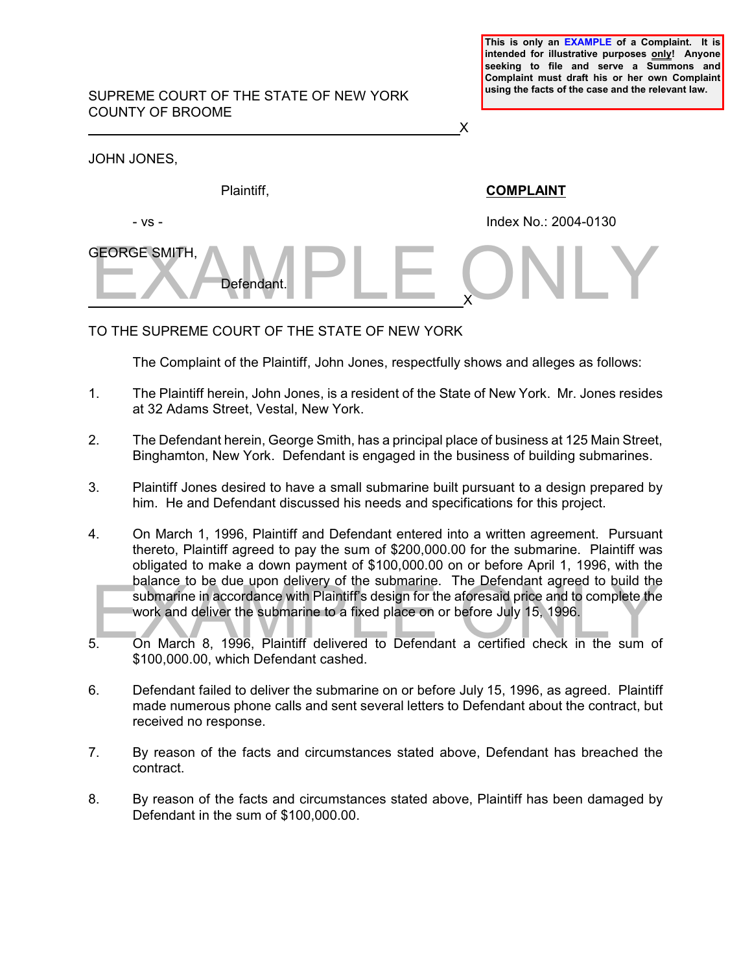**This is only an EXAMPLE of a Complaint. It is intended for illustrative purposes only! Anyone seeking to file and serve a Summons and Complaint must draft his or her own Complaint using the facts of the case and the relevant law.** 

## SUPREME COURT OF THE STATE OF NEW YORK COUNTY OF BROOME

BEORGE SMITH, Defendant. PLE ONLY <u>X</u> JOHN JONES, Plaintiff, **COMPLAINT** - vs - Index No.: 2004-0130 GEORGE SMITH,

TO THE SUPREME COURT OF THE STATE OF NEW YORK

 $\overline{X}$ 

Defendant.

The Complaint of the Plaintiff, John Jones, respectfully shows and alleges as follows:

- 1. The Plaintiff herein, John Jones, is a resident of the State of New York. Mr. Jones resides at 32 Adams Street, Vestal, New York.
- 2. The Defendant herein, George Smith, has a principal place of business at 125 Main Street, Binghamton, New York. Defendant is engaged in the business of building submarines.
- 3. Plaintiff Jones desired to have a small submarine built pursuant to a design prepared by him. He and Defendant discussed his needs and specifications for this project.
- balance to be due upon delivery of the submanne. The betendant agreed to build the<br>submarine in accordance with Plaintiff's design for the aforesaid price and to complete the<br>work and deliver the submarine to a fixed place 4. On March 1, 1996, Plaintiff and Defendant entered into a written agreement. Pursuant thereto, Plaintiff agreed to pay the sum of \$200,000.00 for the submarine. Plaintiff was obligated to make a down payment of \$100,000.00 on or before April 1, 1996, with the balance to be due upon delivery of the submarine. The Defendant agreed to build the submarine in accordance with Plaintiff's design for the aforesaid price and to complete the work and deliver the submarine to a fixed place on or before July 15, 1996.
- 5. On March 8, 1996, Plaintiff delivered to Defendant a certified check in the sum of \$100,000.00, which Defendant cashed.
- 6. Defendant failed to deliver the submarine on or before July 15, 1996, as agreed. Plaintiff made numerous phone calls and sent several letters to Defendant about the contract, but received no response.
- 7. By reason of the facts and circumstances stated above, Defendant has breached the contract.
- 8. By reason of the facts and circumstances stated above, Plaintiff has been damaged by Defendant in the sum of \$100,000.00.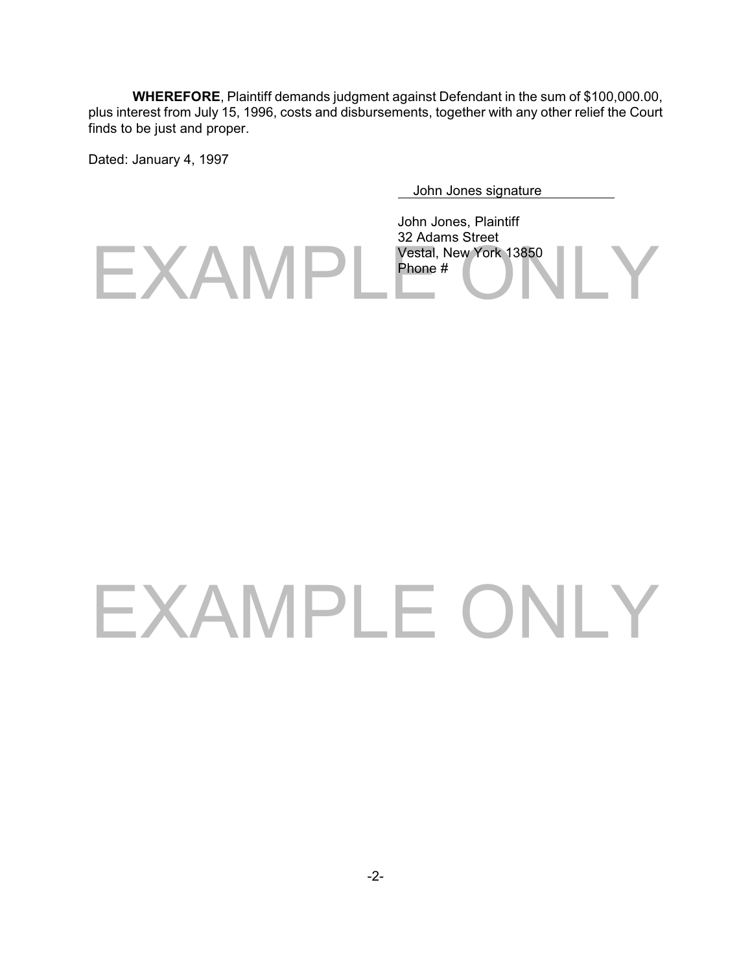**WHEREFORE**, Plaintiff demands judgment against Defendant in the sum of \$100,000.00, plus interest from July 15, 1996, costs and disbursements, together with any other relief the Court finds to be just and proper.

Dated: January 4, 1997

John Jones signature

EXAMPL<sup>Vestal, New York 13850</sup> John Jones, Plaintiff 32 Adams Street Phone #

## EXAMPLE ONLY